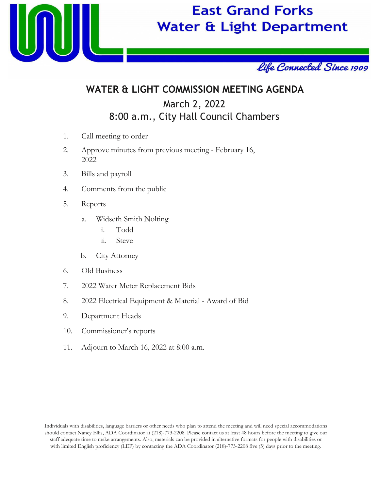

# **East Grand Forks Water & Light Department**



## **WATER & LIGHT COMMISSION MEETING AGENDA** March 2, 2022 8:00 a.m., City Hall Council Chambers

- 1. Call meeting to order
- 2. Approve minutes from previous meeting February 16, 2022
- 3. Bills and payroll
- 4. Comments from the public
- 5. Reports
	- a. Widseth Smith Nolting
		- i. Todd
		- ii. Steve
	- b. City Attorney
- 6. Old Business
- 7. 2022 Water Meter Replacement Bids
- 8. 2022 Electrical Equipment & Material Award of Bid
- 9. Department Heads
- 10. Commissioner's reports
- 11. Adjourn to March 16, 2022 at 8:00 a.m.

Individuals with disabilities, language barriers or other needs who plan to attend the meeting and will need special accommodations should contact Nancy Ellis, ADA Coordinator at (218)-773-2208. Please contact us at least 48 hours before the meeting to give our staff adequate time to make arrangements. Also, materials can be provided in alternative formats for people with disabilities or with limited English proficiency (LEP) by contacting the ADA Coordinator (218)-773-2208 five (5) days prior to the meeting.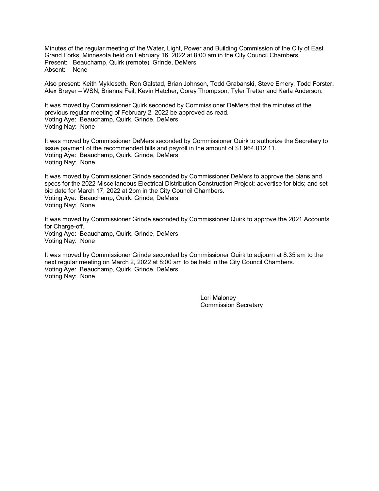Minutes of the regular meeting of the Water, Light, Power and Building Commission of the City of East Grand Forks, Minnesota held on February 16, 2022 at 8:00 am in the City Council Chambers. Present: Beauchamp, Quirk (remote), Grinde, DeMers Absent: None

Also present: Keith Mykleseth, Ron Galstad, Brian Johnson, Todd Grabanski, Steve Emery, Todd Forster, Alex Breyer – WSN, Brianna Feil, Kevin Hatcher, Corey Thompson, Tyler Tretter and Karla Anderson.

It was moved by Commissioner Quirk seconded by Commissioner DeMers that the minutes of the previous regular meeting of February 2, 2022 be approved as read. Voting Aye: Beauchamp, Quirk, Grinde, DeMers Voting Nay: None

It was moved by Commissioner DeMers seconded by Commissioner Quirk to authorize the Secretary to issue payment of the recommended bills and payroll in the amount of \$1,964,012.11. Voting Aye: Beauchamp, Quirk, Grinde, DeMers Voting Nay: None

It was moved by Commissioner Grinde seconded by Commissioner DeMers to approve the plans and specs for the 2022 Miscellaneous Electrical Distribution Construction Project; advertise for bids; and set bid date for March 17, 2022 at 2pm in the City Council Chambers. Voting Aye: Beauchamp, Quirk, Grinde, DeMers Voting Nay: None

It was moved by Commissioner Grinde seconded by Commissioner Quirk to approve the 2021 Accounts for Charge-off. Voting Aye: Beauchamp, Quirk, Grinde, DeMers Voting Nay: None

It was moved by Commissioner Grinde seconded by Commissioner Quirk to adjourn at 8:35 am to the next regular meeting on March 2, 2022 at 8:00 am to be held in the City Council Chambers. Voting Aye: Beauchamp, Quirk, Grinde, DeMers Voting Nay: None

> Lori Maloney Commission Secretary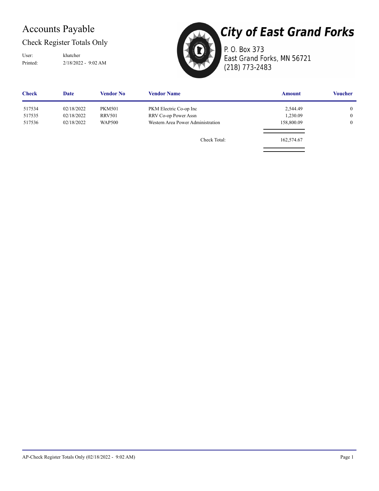### Accounts Payable

Check Register Totals Only

Printed: 2/18/2022 - 9:02 AM User: khatcher



**City of East Grand Forks** 

P. O. Box 373 East Grand Forks, MN 56721 (218) 773-2483

| <b>Check</b> | Date       | <b>Vendor No</b> | <b>Vendor Name</b>                | <b>Amount</b> | <b>Voucher</b> |
|--------------|------------|------------------|-----------------------------------|---------------|----------------|
| 517534       | 02/18/2022 | <b>PKM501</b>    | PKM Electric Co-op Inc            | 2,544.49      | $\overline{0}$ |
| 517535       | 02/18/2022 | <b>RRV501</b>    | RRV Co-op Power Assn              | 1,230.09      | $\overline{0}$ |
| 517536       | 02/18/2022 | <b>WAP500</b>    | Western Area Power Administration | 158,800.09    | $\overline{0}$ |
|              |            |                  | Check Total:                      | 162,574.67    |                |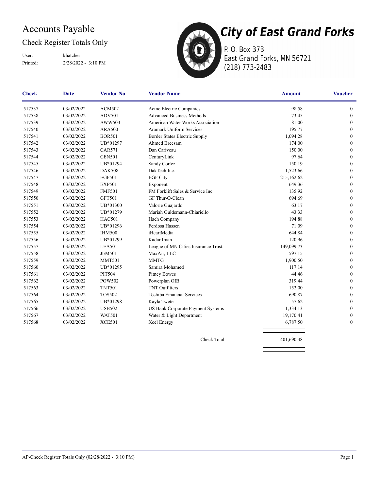### Accounts Payable

### Check Register Totals Only

Printed: 2/28/2022 - 3:10 PM User: khatcher



P. O. Box 373 East Grand Forks, MN 56721 (218) 773-2483

| <b>Check</b> | <b>Date</b> | <b>Vendor No</b> | <b>Vendor Name</b>                  | <b>Amount</b> | <b>Voucher</b>   |
|--------------|-------------|------------------|-------------------------------------|---------------|------------------|
| 517537       | 03/02/2022  | <b>ACM502</b>    | Acme Electric Companies             | 98.58         | $\boldsymbol{0}$ |
| 517538       | 03/02/2022  | <b>ADV501</b>    | <b>Advanced Business Methods</b>    | 73.45         | $\boldsymbol{0}$ |
| 517539       | 03/02/2022  | AWW503           | American Water Works Association    | 81.00         | $\mathbf{0}$     |
| 517540       | 03/02/2022  | <b>ARA500</b>    | <b>Aramark Uniform Services</b>     | 195.77        | $\mathbf{0}$     |
| 517541       | 03/02/2022  | <b>BOR501</b>    | Border States Electric Supply       | 1,094.28      | $\mathbf{0}$     |
| 517542       | 03/02/2022  | UB*01297         | Ahmed Breesam                       | 174.00        | $\mathbf{0}$     |
| 517543       | 03/02/2022  | <b>CAR571</b>    | Dan Cariveau                        | 150.00        | $\mathbf{0}$     |
| 517544       | 03/02/2022  | <b>CEN501</b>    | CenturyLink                         | 97.64         | $\boldsymbol{0}$ |
| 517545       | 03/02/2022  | UB*01294         | Sandy Cortez                        | 150.19        | $\boldsymbol{0}$ |
| 517546       | 03/02/2022  | <b>DAK508</b>    | DakTech Inc.                        | 1,523.66      | $\boldsymbol{0}$ |
| 517547       | 03/02/2022  | <b>EGF501</b>    | <b>EGF City</b>                     | 215,162.62    | $\boldsymbol{0}$ |
| 517548       | 03/02/2022  | <b>EXP501</b>    | Exponent                            | 649.36        | $\mathbf{0}$     |
| 517549       | 03/02/2022  | <b>FMF501</b>    | FM Forklift Sales & Service Inc     | 135.92        | $\mathbf{0}$     |
| 517550       | 03/02/2022  | <b>GFT501</b>    | GF Thur-O-Clean                     | 694.69        | $\mathbf{0}$     |
| 517551       | 03/02/2022  | UB*01300         | Valorie Guajardo                    | 63.17         | $\mathbf{0}$     |
| 517552       | 03/02/2022  | UB*01279         | Mariah Guldemann-Chiariello         | 43.33         | $\mathbf{0}$     |
| 517553       | 03/02/2022  | <b>HAC501</b>    | Hach Company                        | 194.88        | $\mathbf{0}$     |
| 517554       | 03/02/2022  | UB*01296         | Ferdosa Hassen                      | 71.09         | $\boldsymbol{0}$ |
| 517555       | 03/02/2022  | <b>IHM500</b>    | iHeartMedia                         | 644.84        | $\boldsymbol{0}$ |
| 517556       | 03/02/2022  | UB*01299         | Kadar Iman                          | 120.96        | $\boldsymbol{0}$ |
| 517557       | 03/02/2022  | <b>LEA501</b>    | League of MN Cities Insurance Trust | 149,099.73    | $\mathbf{0}$     |
| 517558       | 03/02/2022  | <b>JEM501</b>    | MaxAir, LLC                         | 597.15        | $\mathbf{0}$     |
| 517559       | 03/02/2022  | <b>MMT501</b>    | <b>MMTG</b>                         | 1,900.50      | $\boldsymbol{0}$ |
| 517560       | 03/02/2022  | UB*01295         | Samira Mohamed                      | 117.14        | $\mathbf{0}$     |
| 517561       | 03/02/2022  | <b>PIT504</b>    | <b>Pitney Bowes</b>                 | 44.46         | $\mathbf{0}$     |
| 517562       | 03/02/2022  | POW502           | Powerplan OIB                       | 319.44        | $\mathbf{0}$     |
| 517563       | 03/02/2022  | <b>TNT501</b>    | <b>TNT Outfitters</b>               | 152.00        | $\mathbf{0}$     |
| 517564       | 03/02/2022  | <b>TOS502</b>    | <b>Toshiba Financial Services</b>   | 690.87        | $\mathbf{0}$     |
| 517565       | 03/02/2022  | UB*01298         | Kayla Twete                         | 57.62         | $\mathbf{0}$     |
| 517566       | 03/02/2022  | <b>USB502</b>    | US Bank Corporate Payment Systems   | 1,334.13      | $\mathbf{0}$     |
| 517567       | 03/02/2022  | <b>WAT501</b>    | Water & Light Department            | 19,170.41     | $\mathbf{0}$     |
| 517568       | 03/02/2022  | <b>XCE501</b>    | Xcel Energy                         | 6,787.50      | $\mathbf{0}$     |
|              |             |                  |                                     |               |                  |

Check Total: 401,690.38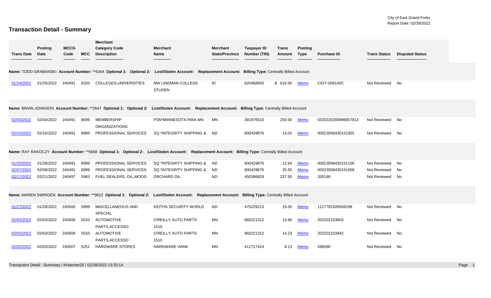### **Transaction Detail - Summary**

|                   | <b>Posting</b> | <b>MCCG</b> |            | <b>Merchant</b><br><b>Category Code</b>                                                                                                              | <b>Merchant</b>                     | <b>Merchant</b>       | <b>Taxpayer ID</b> | Trans    | <b>Posting</b> |                     |                     |                        |
|-------------------|----------------|-------------|------------|------------------------------------------------------------------------------------------------------------------------------------------------------|-------------------------------------|-----------------------|--------------------|----------|----------------|---------------------|---------------------|------------------------|
| <b>Trans Date</b> | Date           | Code        | <b>MCC</b> | <b>Description</b>                                                                                                                                   | Name                                | <b>State/Province</b> | Number (TIN)       | Amount   | <b>Type</b>    | <b>Purchase ID</b>  | <b>Trans Status</b> | <b>Disputed Status</b> |
|                   |                |             |            | Name: TODD GRABANSKI Account Number: **6344 Optional 1: Optional 2: Lost/Stolen Account: Replacement Account: Billing Type: Centrally Billed Account |                                     |                       |                    |          |                |                     |                     |                        |
| 01/24/2022        | 01/25/2022     | 240491      | 8220       | COLLEGES, UNIVERSITIES                                                                                                                               | NW LINEMAN COLLEGE<br><b>STUDEN</b> | ID                    | 820468903          | \$616.00 | <b>Memo</b>    | CIGT-008140C        | Not Reviewed No     |                        |
|                   |                |             |            | Name: BRIAN JOHNSON Account Number: **2647 Optional 1: Optional 2: Lost/Stolen Account: Replacement Account: Billing Type: Centrally Billed Account  |                                     |                       |                    |          |                |                     |                     |                        |
| 02/03/2022        | 02/04/2022     | 240491      | 8699       | <b>MEMBERSHIP</b><br><b>ORGANIZATIONS</b>                                                                                                            | PSN*MINNESOTA RWA MN                | MN                    | 391976510          | 250.00   | <b>Memo</b>    | 0320220205896857813 | Not Reviewed No     |                        |
| 02/15/2022        | 02/16/2022     | 240491      | 8999       | PROFESSIONAL SERVICES                                                                                                                                | SQ *INTEGRITY SHIPPING &            | ND.                   | 800429876          | 13.02    | <b>Memo</b>    | 00023058430151955   | Not Reviewed No     |                        |
|                   |                |             |            | Name: RAY RAKOCZY Account Number: **5668 Optional 1: Optional 2: Lost/Stolen Account: Replacement Account: Billing Type: Centrally Billed Account    |                                     |                       |                    |          |                |                     |                     |                        |
| 01/25/2022        | 01/26/2022     | 240491      | 8999       | PROFESSIONAL SERVICES                                                                                                                                | SQ *INTEGRITY SHIPPING &            | <b>ND</b>             | 800429876          | 12.64    | <b>Memo</b>    | 00023058430151156   | Not Reviewed        | No                     |
| 02/07/2022        | 02/08/2022     | 240491      | 8999       | PROFESSIONAL SERVICES                                                                                                                                | SQ *INTEGRITY SHIPPING &            | ND.                   | 800429876          | 25.55    | <b>Memo</b>    | 00023058430151658   | Not Reviewed        | No                     |
| 02/17/2022        | 02/21/2022     | 240497      | 5983       | FUEL DEALERS, OIL, WOOD                                                                                                                              | ORCHARD OIL                         | <b>ND</b>             | 450386829          | 237.50   | Memo           | 205190              | Not Reviewed        | No                     |
|                   |                |             |            | Name: MAREN SWINGEN Account Number: **9812 Optional 1: Optional 2: Lost/Stolen Account: Replacement Account: Billing Type: Centrally Billed Account  |                                     |                       |                    |          |                |                     |                     |                        |
| 01/27/2022        | 01/28/2022     | 240500      | 5999       | MISCELLANEOUS AND<br><b>SPECIAL</b>                                                                                                                  | KEITHS SECURITY WORLD               | <b>ND</b>             | 475229213          | 15.00    | <b>Memo</b>    | 1127781928556299    | Not Reviewed No     |                        |
| 02/02/2022        | 02/03/2022     | 240506      | 5533       | <b>AUTOMOTIVE</b><br>PARTS, ACCESSO                                                                                                                  | O'REILLY AUTO PARTS<br>1510         | MN                    | 860221312          | 13.90    | Memo           | 202202103803        | Not Reviewed No     |                        |
| 02/02/2022        | 02/03/2022     | 240506      | 5533       | <b>AUTOMOTIVE</b><br>PARTS, ACCESSO                                                                                                                  | O'REILLY AUTO PARTS<br>1510         | MN                    | 860221312          | 14.23    | <b>Memo</b>    | 202202103942        | Not Reviewed No     |                        |
| 02/02/2022        | 02/03/2022     | 240507      | 5251       | <b>HARDWARE STORES</b>                                                                                                                               | <b>HARDWARE HANK</b>                | MN                    | 411717424          | 8.13     | Memo           | 286090              | Not Reviewed No     |                        |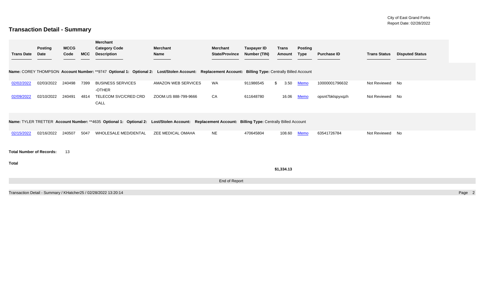### **Transaction Detail - Summary**

| <b>Trans Date</b>               | <b>Posting</b><br><b>Date</b> | <b>MCCG</b><br>Code | <b>MCC</b> | <b>Merchant</b><br><b>Category Code</b><br><b>Description</b>                                                                                        | <b>Merchant</b><br>Name | <b>Merchant</b><br><b>State/Province</b> | <b>Taxpayer ID</b><br>Number (TIN) | <b>Trans</b><br><b>Amount</b> | <b>Posting</b><br>Type | <b>Purchase ID</b> | <b>Trans Status</b> | <b>Disputed Status</b> |        |
|---------------------------------|-------------------------------|---------------------|------------|------------------------------------------------------------------------------------------------------------------------------------------------------|-------------------------|------------------------------------------|------------------------------------|-------------------------------|------------------------|--------------------|---------------------|------------------------|--------|
|                                 |                               |                     |            | Name: COREY THOMPSON Account Number: **9747 Optional 1: Optional 2: Lost/Stolen Account: Replacement Account: Billing Type: Centrally Billed Account |                         |                                          |                                    |                               |                        |                    |                     |                        |        |
| 02/02/2022                      | 02/03/2022                    | 240498              | 7399       | <b>BUSINESS SERVICES</b><br>-OTHER                                                                                                                   | AMAZON WEB SERVICES     | <b>WA</b>                                | 911986545                          | 3.50<br>\$                    | <b>Memo</b>            | 10000001796632     | Not Reviewed No     |                        |        |
| 02/09/2022                      | 02/10/2022                    | 240491              | 4814       | TELECOM SVC/CRED CRD<br>CALL                                                                                                                         | ZOOM.US 888-799-9666    | CA                                       | 611648780                          | 16.06                         | <b>Memo</b>            | opsnt7bklspyxqzh   | Not Reviewed No     |                        |        |
|                                 |                               |                     |            | Name: TYLER TRETTER Account Number: **4635 Optional 1: Optional 2: Lost/Stolen Account: Replacement Account: Billing Type: Centrally Billed Account  |                         |                                          |                                    |                               |                        |                    |                     |                        |        |
| 02/15/2022                      | 02/16/2022                    | 240507              | 5047       | WHOLESALE MED/DENTAL                                                                                                                                 | ZEE MEDICAL OMAHA       | <b>NE</b>                                | 470645804                          | 108.60                        | <b>Memo</b>            | 63541726784        | Not Reviewed        | No                     |        |
| <b>Total Number of Records:</b> |                               | 13                  |            |                                                                                                                                                      |                         |                                          |                                    |                               |                        |                    |                     |                        |        |
| Total                           |                               |                     |            |                                                                                                                                                      |                         |                                          |                                    | \$1,334.13                    |                        |                    |                     |                        |        |
|                                 |                               |                     |            |                                                                                                                                                      |                         | End of Report                            |                                    |                               |                        |                    |                     |                        |        |
|                                 |                               |                     |            | Transaction Detail - Summary / KHatcher25 / 02/28/2022 13:20:14                                                                                      |                         |                                          |                                    |                               |                        |                    |                     |                        | Page 2 |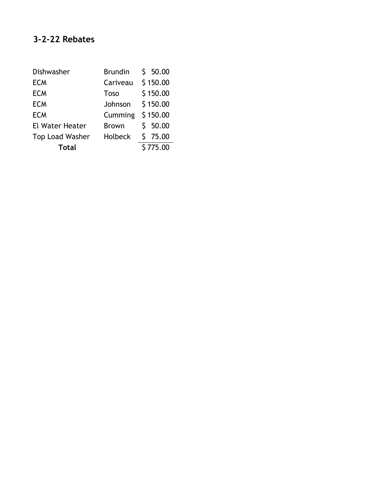| Dishwasher             | Brundin           | \$50.00  |
|------------------------|-------------------|----------|
| <b>ECM</b>             | Cariveau \$150.00 |          |
| <b>ECM</b>             | <b>Toso</b>       | \$150.00 |
| <b>ECM</b>             | Johnson \$150.00  |          |
| <b>ECM</b>             | Cumming \$150.00  |          |
| <b>El Water Heater</b> | <b>Brown</b>      | \$50.00  |
| Top Load Washer        | Holbeck \$ 75.00  |          |
| Total                  |                   | \$775.00 |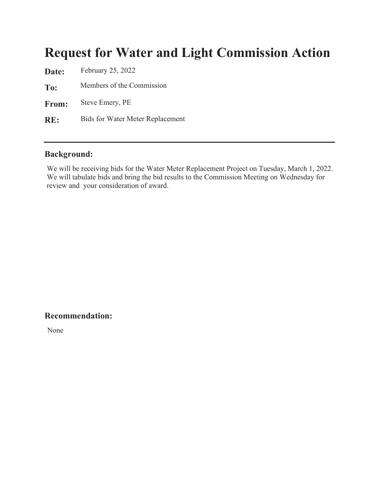# **Request for Water and Light Commission Action**

Date: **February 25, 2022** To: From: **om:** Steve Emery, PE  $RE:$ Members of the Commission Bids for Water Meter Replacement

#### **Background:**

We will be receiving bids for the Water Meter Replacement Project on Tuesday, March 1, 2022. We will tabulate bids and bring the bid results to the Commission Meeting on Wednesday for review and your consideration of award.

### Recommendation:

None